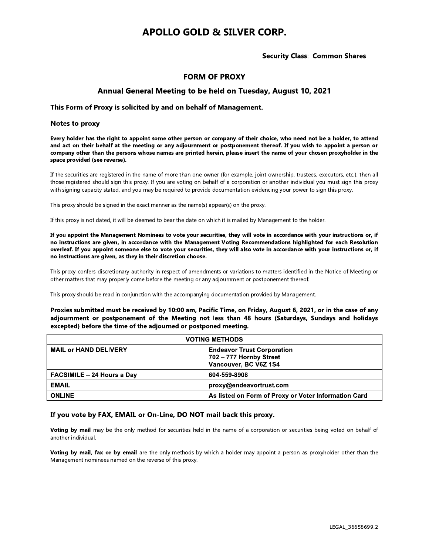# **APOLLO GOLD & SILVER CORP.**

### **Security Class: Common Shares**

## **FORM OF PROXY**

## Annual General Meeting to be held on Tuesday, August 10, 2021

#### This Form of Proxy is solicited by and on behalf of Management.

#### **Notes to proxy**

Every holder has the right to appoint some other person or company of their choice, who need not be a holder, to attend and act on their behalf at the meeting or any adjournment or postponement thereof. If you wish to appoint a person or company other than the persons whose names are printed herein, please insert the name of your chosen proxyholder in the space provided (see reverse).

If the securities are registered in the name of more than one owner (for example, joint ownership, trustees, executors, etc.), then all those registered should sign this proxy. If you are voting on behalf of a corporation or another individual you must sign this proxy with signing capacity stated, and you may be required to provide documentation evidencing your power to sign this proxy.

This proxy should be signed in the exact manner as the name(s) appear(s) on the proxy.

If this proxy is not dated, it will be deemed to bear the date on which it is mailed by Management to the holder.

If you appoint the Management Nominees to vote your securities, they will vote in accordance with your instructions or, if no instructions are given, in accordance with the Management Voting Recommendations highlighted for each Resolution overleaf. If you appoint someone else to vote your securities, they will also vote in accordance with your instructions or, if no instructions are given, as they in their discretion choose.

This proxy confers discretionary authority in respect of amendments or variations to matters identified in the Notice of Meeting or other matters that may properly come before the meeting or any adjournment or postponement thereof.

This proxy should be read in conjunction with the accompanying documentation provided by Management.

Proxies submitted must be received by 10:00 am, Pacific Time, on Friday, August 6, 2021, or in the case of any adjournment or postponement of the Meeting not less than 48 hours (Saturdays, Sundays and holidays excepted) before the time of the adjourned or postponed meeting.

| <b>VOTING METHODS</b>             |                                                                                       |  |
|-----------------------------------|---------------------------------------------------------------------------------------|--|
| <b>MAIL or HAND DELIVERY</b>      | <b>Endeavor Trust Corporation</b><br>702 - 777 Hornby Street<br>Vancouver, BC V6Z 1S4 |  |
| <b>FACSIMILE - 24 Hours a Day</b> | 604-559-8908                                                                          |  |
| <b>EMAIL</b>                      | proxy@endeavortrust.com                                                               |  |
| <b>ONLINE</b>                     | As listed on Form of Proxy or Voter Information Card                                  |  |

#### If you vote by FAX, EMAIL or On-Line, DO NOT mail back this proxy.

Voting by mail may be the only method for securities held in the name of a corporation or securities being voted on behalf of another individual.

Voting by mail, fax or by email are the only methods by which a holder may appoint a person as proxyholder other than the Management nominees named on the reverse of this proxy.